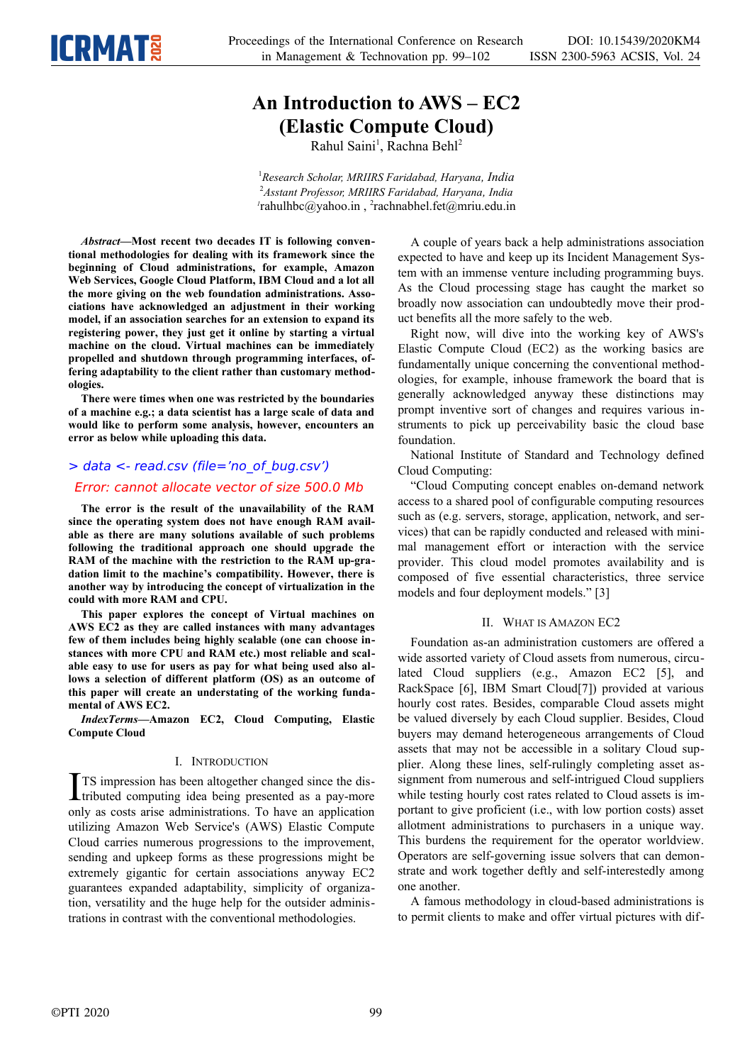

# **An Introduction to AWS – EC2 (Elastic Compute Cloud)**

Rahul Saini<sup>1</sup>, Rachna Behl<sup>2</sup>

<sup>1</sup>*Research Scholar, MRIIRS Faridabad, Haryana, India* <sup>2</sup>*Asstant Professor, MRIIRS Faridabad, Haryana, India 1* rahulhbc@yahoo.in , 2 rachnabhel.fet@mriu.edu.in

*Abstract—***Most recent two decades IT is following conventional methodologies for dealing with its framework since the beginning of Cloud administrations, for example, Amazon Web Services, Google Cloud Platform, IBM Cloud and a lot all the more giving on the web foundation administrations. Associations have acknowledged an adjustment in their working model, if an association searches for an extension to expand its registering power, they just get it online by starting a virtual machine on the cloud. Virtual machines can be immediately propelled and shutdown through programming interfaces, offering adaptability to the client rather than customary methodologies.**

**There were times when one was restricted by the boundaries of a machine e.g.; a data scientist has a large scale of data and would like to perform some analysis, however, encounters an error as below while uploading this data.**

## > data <- read.csv (file='no\_of\_bug.csv') **Error: cannot allocate vector of size 500.0 Mb**

**The error is the result of the unavailability of the RAM since the operating system does not have enough RAM available as there are many solutions available of such problems following the traditional approach one should upgrade the RAM of the machine with the restriction to the RAM up-gradation limit to the machine's compatibility. However, there is another way by introducing the concept of virtualization in the could with more RAM and CPU.**

**This paper explores the concept of Virtual machines on AWS EC2 as they are called instances with many advantages few of them includes being highly scalable (one can choose instances with more CPU and RAM etc.) most reliable and scalable easy to use for users as pay for what being used also allows a selection of different platform (OS) as an outcome of this paper will create an understating of the working fundamental of AWS EC2.**

*IndexTerms—***Amazon EC2, Cloud Computing, Elastic Compute Cloud**

### I. INTRODUCTION

TS impression has been altogether changed since the dis- $\prod$ TS impression has been altogether changed since the distributed computing idea being presented as a pay-more only as costs arise administrations. To have an application utilizing Amazon Web Service's (AWS) Elastic Compute Cloud carries numerous progressions to the improvement, sending and upkeep forms as these progressions might be extremely gigantic for certain associations anyway EC2 guarantees expanded adaptability, simplicity of organization, versatility and the huge help for the outsider administrations in contrast with the conventional methodologies.

A couple of years back a help administrations association expected to have and keep up its Incident Management System with an immense venture including programming buys. As the Cloud processing stage has caught the market so broadly now association can undoubtedly move their product benefits all the more safely to the web.

Right now, will dive into the working key of AWS's Elastic Compute Cloud (EC2) as the working basics are fundamentally unique concerning the conventional methodologies, for example, inhouse framework the board that is generally acknowledged anyway these distinctions may prompt inventive sort of changes and requires various instruments to pick up perceivability basic the cloud base foundation.

National Institute of Standard and Technology defined Cloud Computing:

"Cloud Computing concept enables on-demand network access to a shared pool of configurable computing resources such as (e.g. servers, storage, application, network, and services) that can be rapidly conducted and released with minimal management effort or interaction with the service provider. This cloud model promotes availability and is composed of five essential characteristics, three service models and four deployment models." [3]

### II. WHAT IS AMAZON EC2

Foundation as-an administration customers are offered a wide assorted variety of Cloud assets from numerous, circulated Cloud suppliers (e.g., Amazon EC2 [5], and RackSpace [6], IBM Smart Cloud[7]) provided at various hourly cost rates. Besides, comparable Cloud assets might be valued diversely by each Cloud supplier. Besides, Cloud buyers may demand heterogeneous arrangements of Cloud assets that may not be accessible in a solitary Cloud supplier. Along these lines, self-rulingly completing asset assignment from numerous and self-intrigued Cloud suppliers while testing hourly cost rates related to Cloud assets is important to give proficient (i.e., with low portion costs) asset allotment administrations to purchasers in a unique way. This burdens the requirement for the operator worldview. Operators are self-governing issue solvers that can demonstrate and work together deftly and self-interestedly among one another.

A famous methodology in cloud-based administrations is to permit clients to make and offer virtual pictures with dif-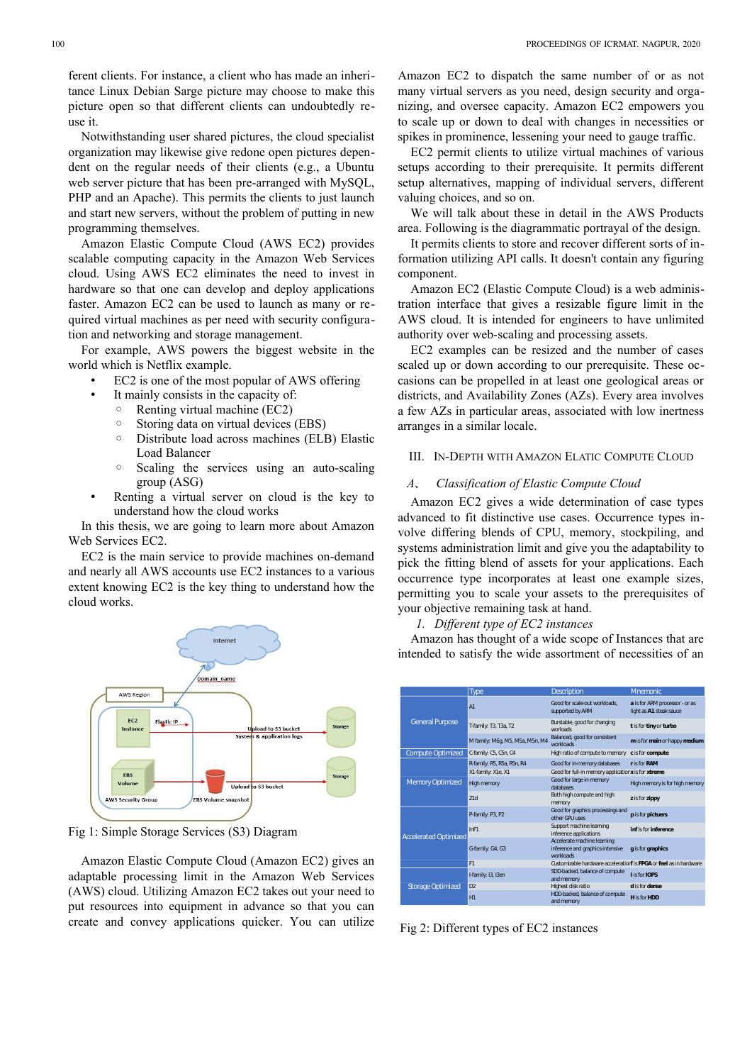Notwithstanding user shared pictures, the cloud specialist organization may likewise give redone open pictures dependent on the regular needs of their clients (e.g., a Ubuntu web server picture that has been pre-arranged with MySQL, PHP and an Apache). This permits the clients to just launch and start new servers, without the problem of putting in new programming themselves.

Amazon Elastic Compute Cloud (AWS EC2) provides scalable computing capacity in the Amazon Web Services cloud. Using AWS EC2 eliminates the need to invest in hardware so that one can develop and deploy applications faster. Amazon EC2 can be used to launch as many or required virtual machines as per need with security configuration and networking and storage management.

For example, AWS powers the biggest website in the world which is Netflix example.

- EC2 is one of the most popular of AWS offering
	- It mainly consists in the capacity of:
	- Renting virtual machine (EC2)
	- Storing data on virtual devices (EBS)
	- Distribute load across machines (ELB) Elastic Load Balancer
	- Scaling the services using an auto-scaling group (ASG)
- Renting a virtual server on cloud is the key to understand how the cloud works

In this thesis, we are going to learn more about Amazon Web Services EC2.

EC2 is the main service to provide machines on-demand and nearly all AWS accounts use EC2 instances to a various extent knowing EC2 is the key thing to understand how the cloud works.



Fig 1: Simple Storage Services (S3) Diagram

Amazon Elastic Compute Cloud (Amazon EC2) gives an adaptable processing limit in the Amazon Web Services (AWS) cloud. Utilizing Amazon EC2 takes out your need to put resources into equipment in advance so that you can create and convey applications quicker. You can utilize

EC2 permit clients to utilize virtual machines of various setups according to their prerequisite. It permits different setup alternatives, mapping of individual servers, different valuing choices, and so on.

We will talk about these in detail in the AWS Products area. Following is the diagrammatic portrayal of the design.

It permits clients to store and recover different sorts of information utilizing API calls. It doesn't contain any figuring component.

Amazon EC2 (Elastic Compute Cloud) is a web administration interface that gives a resizable figure limit in the AWS cloud. It is intended for engineers to have unlimited authority over web-scaling and processing assets.

EC2 examples can be resized and the number of cases scaled up or down according to our prerequisite. These occasions can be propelled in at least one geological areas or districts, and Availability Zones (AZs). Every area involves a few AZs in particular areas, associated with low inertness arranges in a similar locale.

### III. IN-DEPTH WITH AMAZON ELATIC COMPUTE CLOUD

#### *A*、 *Classification of Elastic Compute Cloud*

Amazon EC2 gives a wide determination of case types advanced to fit distinctive use cases. Occurrence types involve differing blends of CPU, memory, stockpiling, and systems administration limit and give you the adaptability to pick the fitting blend of assets for your applications. Each occurrence type incorporates at least one example sizes, permitting you to scale your assets to the prerequisites of your objective remaining task at hand.

#### *1. Different type of EC2 instances*

Amazon has thought of a wide scope of Instances that are intended to satisfy the wide assortment of necessities of an

|  |                              | <b>Type</b>                     | <b>Description</b>                                                           | Mnemonic                                                  |
|--|------------------------------|---------------------------------|------------------------------------------------------------------------------|-----------------------------------------------------------|
|  | <b>General Purpose</b>       | A1                              | Good for scale-out workloads.<br>supported by ARM                            | a is for ARM processor - or as<br>light as A1 steak sauce |
|  |                              | T-family: T3, T3a, T2           | Burstable, good for changing<br>worloads                                     | t is for tiny or turbo                                    |
|  |                              | M family: M6q, M5, M5a, M5n, M4 | Balanced, good for consistent<br>workloads                                   | m is for main or happy medium                             |
|  | <b>Compute Optimized</b>     | C-family: C5, C5n, C4           | High ratio of compute to memory                                              | c is for compute                                          |
|  | <b>Memory Optimized</b>      | R-family: R5, R5a, R5n, R4      | Good for in-memory databases                                                 | r is for RAM                                              |
|  |                              | X1-family: X1e, X1              | Good for full-in memory applicatior x is for xtreme                          |                                                           |
|  |                              | High memory                     | Good for large in-memory<br>databases                                        | High memory is for high memory                            |
|  |                              | 71d                             | Both high compute and high<br>memory                                         | z is for zippy                                            |
|  | <b>Accelerated Optimized</b> | P-family: P3, P2                | Good for graphics processings and<br>other GPU uses                          | p is for pictuers                                         |
|  |                              | InF1                            | Support machine learning<br>inference applications                           | infision inference                                        |
|  |                              | G-family: G4, G3                | Accelerate machine learning<br>inference and graphics-intensive<br>workloads | g is for graphics                                         |
|  |                              | F1                              | Customizable hardware acceleration <b>f</b> is FPGA or feel as in hardware   |                                                           |
|  | <b>Storage Optimized</b>     | I-family: I3, I3en              | SDD-backed, balance of compute<br>and memory                                 | <b>Lisfor IOPS</b>                                        |
|  |                              | D <sub>2</sub>                  | Highest disk ratio                                                           | d is for dense                                            |
|  |                              | H1                              | HDD-backed, balance of compute<br>and memory                                 | <b>Hisfor HDD</b>                                         |

Fig 2: Different types of EC2 instances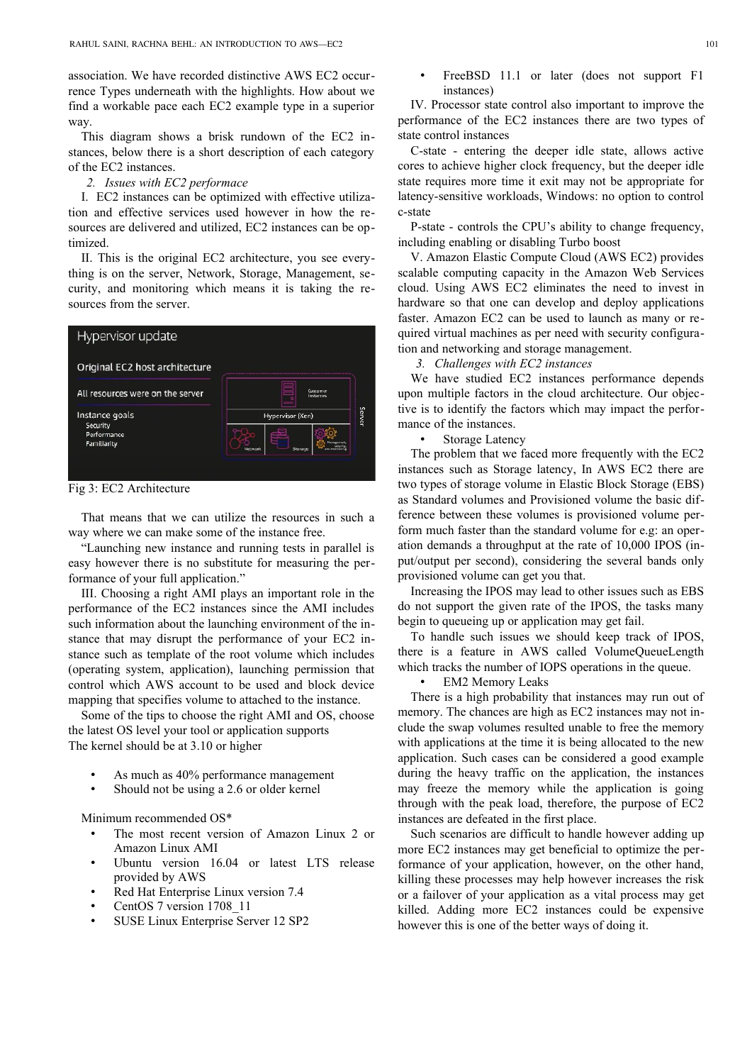association. We have recorded distinctive AWS EC2 occurrence Types underneath with the highlights. How about we find a workable pace each EC2 example type in a superior way.

This diagram shows a brisk rundown of the EC2 instances, below there is a short description of each category of the EC2 instances.

#### *2. Issues with EC2 performace*

I. EC2 instances can be optimized with effective utilization and effective services used however in how the resources are delivered and utilized, EC2 instances can be optimized.

II. This is the original EC2 architecture, you see everything is on the server, Network, Storage, Management, security, and monitoring which means it is taking the resources from the server.



Fig 3: EC2 Architecture

That means that we can utilize the resources in such a way where we can make some of the instance free.

"Launching new instance and running tests in parallel is easy however there is no substitute for measuring the performance of your full application."

III. Choosing a right AMI plays an important role in the performance of the EC2 instances since the AMI includes such information about the launching environment of the instance that may disrupt the performance of your EC2 instance such as template of the root volume which includes (operating system, application), launching permission that control which AWS account to be used and block device mapping that specifies volume to attached to the instance.

Some of the tips to choose the right AMI and OS, choose the latest OS level your tool or application supports The kernel should be at 3.10 or higher

- As much as 40% performance management
- Should not be using a 2.6 or older kernel

Minimum recommended OS\*

- The most recent version of Amazon Linux 2 or Amazon Linux AMI
- Ubuntu version 16.04 or latest LTS release provided by AWS
- Red Hat Enterprise Linux version 7.4
- CentOS 7 version 1708\_11
- SUSE Linux Enterprise Server 12 SP2

FreeBSD 11.1 or later (does not support F1 instances)

IV. Processor state control also important to improve the performance of the EC2 instances there are two types of state control instances

C-state - entering the deeper idle state, allows active cores to achieve higher clock frequency, but the deeper idle state requires more time it exit may not be appropriate for latency-sensitive workloads, Windows: no option to control c-state

P-state - controls the CPU's ability to change frequency, including enabling or disabling Turbo boost

V. Amazon Elastic Compute Cloud (AWS EC2) provides scalable computing capacity in the Amazon Web Services cloud. Using AWS EC2 eliminates the need to invest in hardware so that one can develop and deploy applications faster. Amazon EC2 can be used to launch as many or required virtual machines as per need with security configuration and networking and storage management.

*3. Challenges with EC2 instances*

We have studied EC2 instances performance depends upon multiple factors in the cloud architecture. Our objective is to identify the factors which may impact the performance of the instances.

• Storage Latency

The problem that we faced more frequently with the EC2 instances such as Storage latency, In AWS EC2 there are two types of storage volume in Elastic Block Storage (EBS) as Standard volumes and Provisioned volume the basic difference between these volumes is provisioned volume perform much faster than the standard volume for e.g: an operation demands a throughput at the rate of 10,000 IPOS (input/output per second), considering the several bands only provisioned volume can get you that.

Increasing the IPOS may lead to other issues such as EBS do not support the given rate of the IPOS, the tasks many begin to queueing up or application may get fail.

To handle such issues we should keep track of IPOS, there is a feature in AWS called VolumeQueueLength which tracks the number of IOPS operations in the queue.

**EM2 Memory Leaks** 

There is a high probability that instances may run out of memory. The chances are high as EC2 instances may not include the swap volumes resulted unable to free the memory with applications at the time it is being allocated to the new application. Such cases can be considered a good example during the heavy traffic on the application, the instances may freeze the memory while the application is going through with the peak load, therefore, the purpose of EC2 instances are defeated in the first place.

Such scenarios are difficult to handle however adding up more EC2 instances may get beneficial to optimize the performance of your application, however, on the other hand, killing these processes may help however increases the risk or a failover of your application as a vital process may get killed. Adding more EC2 instances could be expensive however this is one of the better ways of doing it.